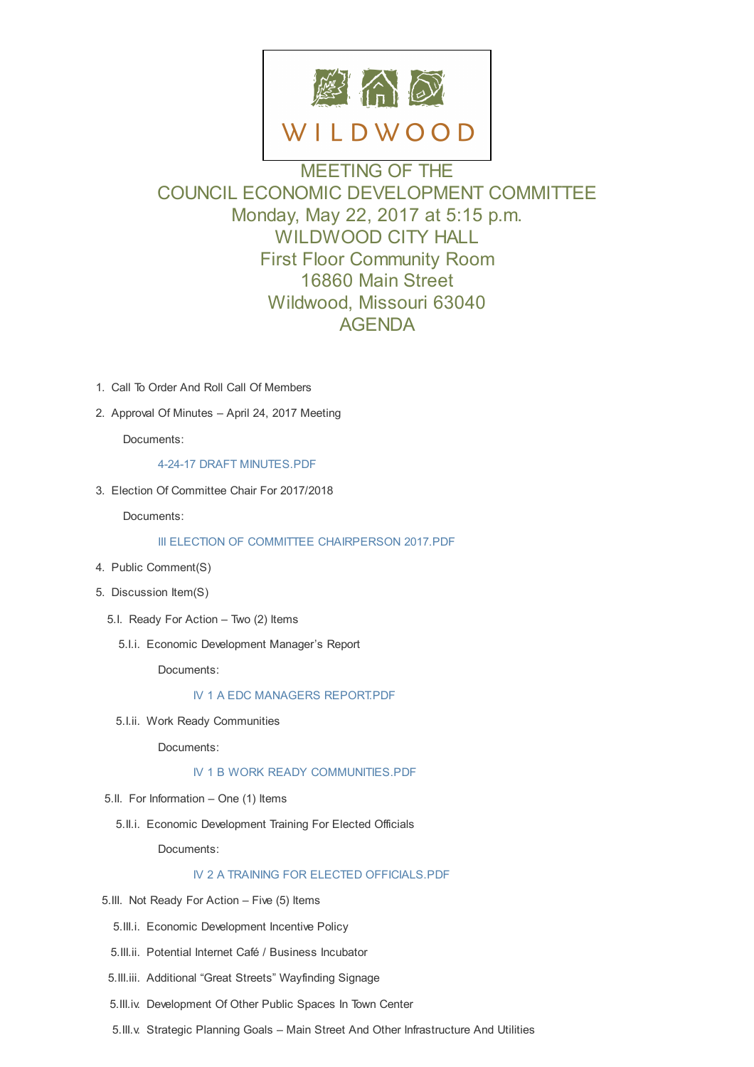

MEETING OF THE COUNCIL ECONOMIC DEVELOPMENT COMMITTEE Monday, May 22, 2017 at 5:15 p.m. WILDWOOD CITY HALL First Floor Community Room 16860 Main Street Wildwood, Missouri 63040 AGENDA

- 1. Call To Order And Roll Call Of Members
- 2. Approval Of Minutes April 24, 2017 Meeting

Documents:

4-24-17 DRAFT MINUTES.PDF

3. Election Of Committee Chair For 2017/2018

Docu[ments:](http://cityofwildwood.com/AgendaCenter/ViewFile/Item/10897?fileID=15296)

#### III ELECTION OF COMMITTEE CHAIRPERSON 2017.PDF

- 4. Public Comment(S)
- 5. Discussion [Item\(S\)](http://cityofwildwood.com/AgendaCenter/ViewFile/Item/10898?fileID=15297)
	- 5.I. Ready For Action Two (2) Items
		- 5.I.i. Economic Development Manager's Report

Documents:

### IV 1 A EDC MANAGERS REPORT.PDF

5.I.ii. Work Ready Communities

Docu[ments:](http://cityofwildwood.com/AgendaCenter/ViewFile/Item/10902?fileID=15298)

## IV 1 B WORK READY COMMUNITIES.PDF

- 5.II. For Information One (1) Items
	- 5.II.i. Economic [Development](http://cityofwildwood.com/AgendaCenter/ViewFile/Item/10903?fileID=15299) Training For Elected Officials

Documents:

## IV 2 A TRAINING FOR ELECTED OFFICIALS.PDF

- 5.III. Not Ready For Action Five (5) Items
	- 5.III.i. Economic [Development](http://cityofwildwood.com/AgendaCenter/ViewFile/Item/10905?fileID=15300) Incentive Policy
- 5.III.ii. Potential Internet Café / Business Incubator
- 5.III.iii. Additional "Great Streets" Wayfinding Signage
- 5.III.iv. Development Of Other Public Spaces In Town Center
- 5.III.v. Strategic Planning Goals Main Street And Other Infrastructure And Utilities